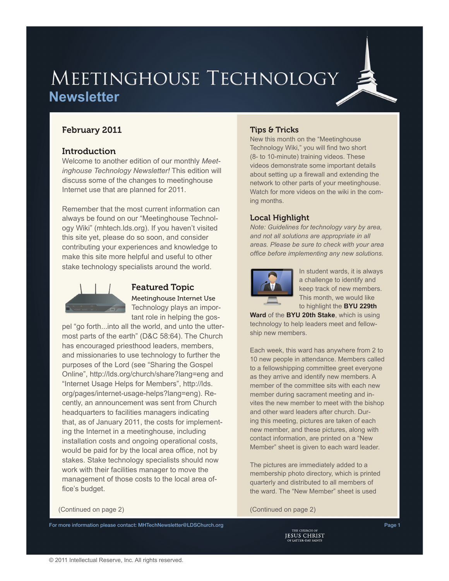# MEETINGHOUSE TECHNOLOGY **Newsletter**

## February 2011

### **Introduction**

Welcome to another edition of our monthly *Meetinghouse Technology Newsletter!* This edition will discuss some of the changes to meetinghouse Internet use that are planned for 2011.

Remember that the most current information can always be found on our "Meetinghouse Technology Wiki" ([mhtech.lds.org\)](http://mhtech.lds.org). If you haven't visited this site yet, please do so soon, and consider contributing your experiences and knowledge to make this site more helpful and useful to other stake technology specialists around the world.



## Featured Topic

Meetinghouse Internet Use Technology plays an important role in helping the gos-

pel "go forth...into all the world, and unto the uttermost parts of the earth" (D&C 58:64). The Church has encouraged priesthood leaders, members, and missionaries to use technology to further the purposes of the Lord (see "Sharing the Gospel Online", <http://lds.org/church/share?lang=eng> and "Internet Usage Helps for Members", [http://lds.](http://lds.org/pages/internet-usage-helps?lang=eng) [org/pages/internet-usage-helps?lang=eng](http://lds.org/pages/internet-usage-helps?lang=eng)). Recently, an announcement was sent from Church headquarters to facilities managers indicating that, as of January 2011, the costs for implementing the Internet in a meetinghouse, including installation costs and ongoing operational costs, would be paid for by the local area office, not by stakes. Stake technology specialists should now work with their facilities manager to move the management of those costs to the local area office's budget.

# For more information please contact: [MHTechNewsletter@LDSChurch.org](mailto:mhtechnewsletter%40ldschurch.org?subject=)<br>Page 1<br>PSUS CHRIST

### Tips & Tricks

New this month on the "Meetinghouse Technology Wiki," you will find two short (8- to 10-minute) [training videos](https://tech.lds.org/wiki/Meetinghouse_technology_training). These videos demonstrate some important details about setting up a firewall and extending the network to other parts of your meetinghouse. Watch for more videos on the wiki in the coming months.

### Local Highlight

*Note: Guidelines for technology vary by area, and not all solutions are appropriate in all areas. Please be sure to check with your area office before implementing any new solutions.*



In student wards, it is always a challenge to identify and keep track of new members. This month, we would like to highlight the **BYU 229th** 

**Ward** of the **BYU 20th Stake**, which is using technology to help leaders meet and fellowship new members.

Each week, this ward has anywhere from 2 to 10 new people in attendance. Members called to a fellowshipping committee greet everyone as they arrive and identify new members. A member of the committee sits with each new member during sacrament meeting and invites the new member to meet with the bishop and other ward leaders after church. During this meeting, pictures are taken of each new member, and these pictures, along with contact information, are printed on a "New Member" sheet is given to each ward leader.

The pictures are immediately added to a membership photo directory, which is printed quarterly and distributed to all members of the ward. The "New Member" sheet is used

(Continued on page 2) (Continued on page 2)